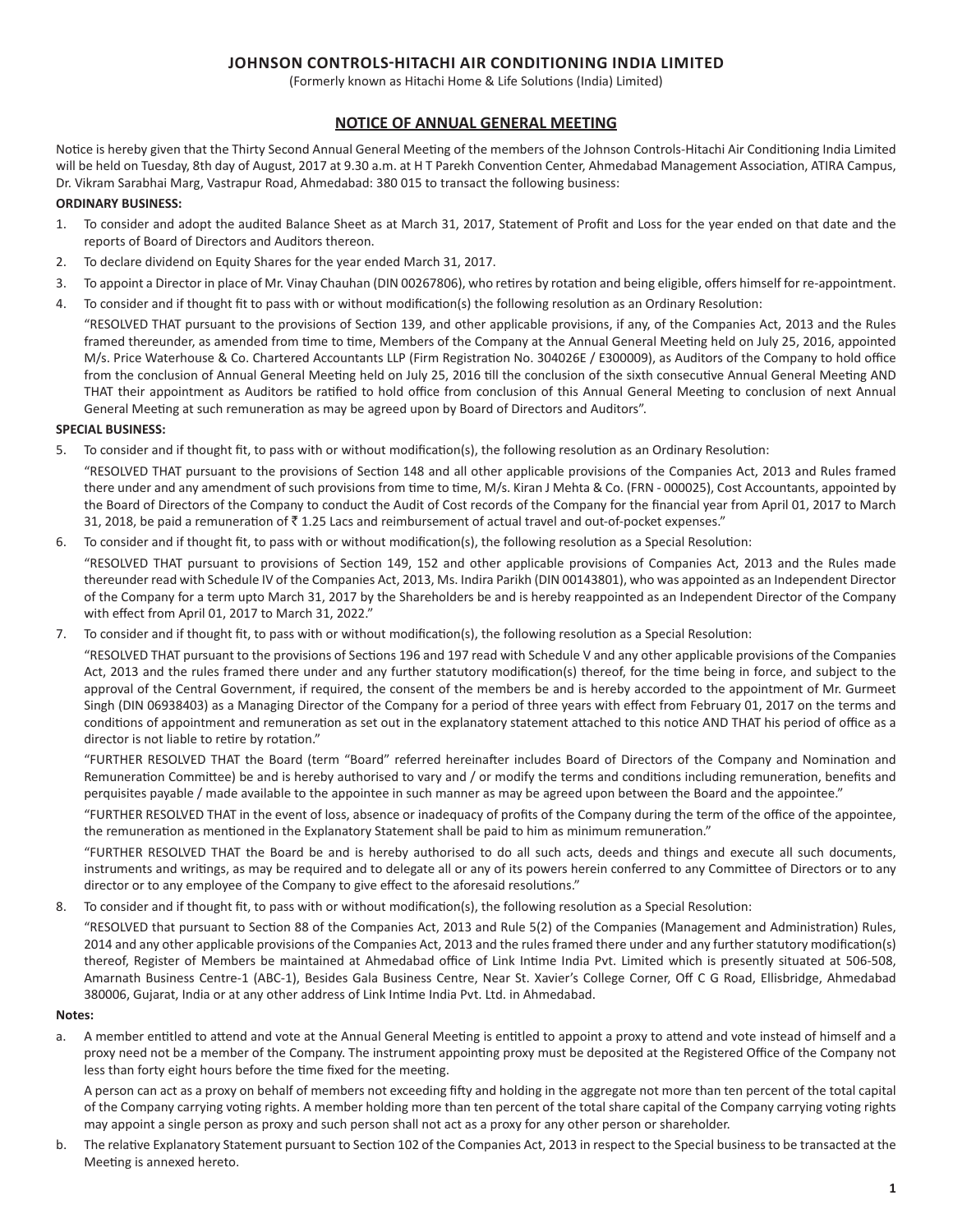# **JOHNSON CONTROLS-HITACHI AIR CONDITIONING INDIA LIMITED**

(Formerly known as Hitachi Home & Life Solutions (India) Limited)

# **NOTICE OF ANNUAL GENERAL MEETING**

Notice is hereby given that the Thirty Second Annual General Meeting of the members of the Johnson Controls-Hitachi Air Conditioning India Limited will be held on Tuesday, 8th day of August, 2017 at 9.30 a.m. at H T Parekh Convention Center, Ahmedabad Management Association, ATIRA Campus, Dr. Vikram Sarabhai Marg, Vastrapur Road, Ahmedabad: 380 015 to transact the following business:

# **ORDINARY BUSINESS:**

- 1. To consider and adopt the audited Balance Sheet as at March 31, 2017, Statement of Profit and Loss for the year ended on that date and the reports of Board of Directors and Auditors thereon.
- 2. To declare dividend on Equity Shares for the year ended March 31, 2017.
- 3. To appoint a Director in place of Mr. Vinay Chauhan (DIN 00267806), who retires by rotation and being eligible, offers himself for re-appointment.
- 4. To consider and if thought fit to pass with or without modification(s) the following resolution as an Ordinary Resolution:

"RESOLVED THAT pursuant to the provisions of Section 139, and other applicable provisions, if any, of the Companies Act, 2013 and the Rules framed thereunder, as amended from time to time, Members of the Company at the Annual General Meeting held on July 25, 2016, appointed M/s. Price Waterhouse & Co. Chartered Accountants LLP (Firm Registration No. 304026E / E300009), as Auditors of the Company to hold office from the conclusion of Annual General Meeting held on July 25, 2016 till the conclusion of the sixth consecutive Annual General Meeting AND THAT their appointment as Auditors be ratified to hold office from conclusion of this Annual General Meeting to conclusion of next Annual General Meeting at such remuneration as may be agreed upon by Board of Directors and Auditors".

## **SPECIAL BUSINESS:**

5. To consider and if thought fit, to pass with or without modification(s), the following resolution as an Ordinary Resolution:

"RESOLVED THAT pursuant to the provisions of Section 148 and all other applicable provisions of the Companies Act, 2013 and Rules framed there under and any amendment of such provisions from time to time, M/s. Kiran J Mehta & Co. (FRN - 000025), Cost Accountants, appointed by the Board of Directors of the Company to conduct the Audit of Cost records of the Company for the financial year from April 01, 2017 to March 31, 2018, be paid a remuneration of  $\bar{z}$  1.25 Lacs and reimbursement of actual travel and out-of-pocket expenses."

6. To consider and if thought fit, to pass with or without modification(s), the following resolution as a Special Resolution:

"RESOLVED THAT pursuant to provisions of Section 149, 152 and other applicable provisions of Companies Act, 2013 and the Rules made thereunder read with Schedule IV of the Companies Act, 2013, Ms. Indira Parikh (DIN 00143801), who was appointed as an Independent Director of the Company for a term upto March 31, 2017 by the Shareholders be and is hereby reappointed as an Independent Director of the Company with effect from April 01, 2017 to March 31, 2022."

7. To consider and if thought fit, to pass with or without modification(s), the following resolution as a Special Resolution:

"RESOLVED THAT pursuant to the provisions of Sections 196 and 197 read with Schedule V and any other applicable provisions of the Companies Act, 2013 and the rules framed there under and any further statutory modification(s) thereof, for the time being in force, and subject to the approval of the Central Government, if required, the consent of the members be and is hereby accorded to the appointment of Mr. Gurmeet Singh (DIN 06938403) as a Managing Director of the Company for a period of three years with effect from February 01, 2017 on the terms and conditions of appointment and remuneration as set out in the explanatory statement attached to this notice AND THAT his period of office as a director is not liable to retire by rotation."

"FURTHER RESOLVED THAT the Board (term "Board" referred hereinafter includes Board of Directors of the Company and Nomination and Remuneration Committee) be and is hereby authorised to vary and / or modify the terms and conditions including remuneration, benefits and perquisites payable / made available to the appointee in such manner as may be agreed upon between the Board and the appointee."

"FURTHER RESOLVED THAT in the event of loss, absence or inadequacy of profits of the Company during the term of the office of the appointee, the remuneration as mentioned in the Explanatory Statement shall be paid to him as minimum remuneration."

"FURTHER RESOLVED THAT the Board be and is hereby authorised to do all such acts, deeds and things and execute all such documents, instruments and writings, as may be required and to delegate all or any of its powers herein conferred to any Committee of Directors or to any director or to any employee of the Company to give effect to the aforesaid resolutions."

8. To consider and if thought fit, to pass with or without modification(s), the following resolution as a Special Resolution:

"RESOLVED that pursuant to Section 88 of the Companies Act, 2013 and Rule 5(2) of the Companies (Management and Administration) Rules, 2014 and any other applicable provisions of the Companies Act, 2013 and the rules framed there under and any further statutory modification(s) thereof, Register of Members be maintained at Ahmedabad office of Link Intime India Pvt. Limited which is presently situated at 506-508, Amarnath Business Centre-1 (ABC-1), Besides Gala Business Centre, Near St. Xavier's College Corner, Off C G Road, Ellisbridge, Ahmedabad 380006, Gujarat, India or at any other address of Link Intime India Pvt. Ltd. in Ahmedabad.

## **Notes:**

a. A member entitled to attend and vote at the Annual General Meeting is entitled to appoint a proxy to attend and vote instead of himself and a proxy need not be a member of the Company. The instrument appointing proxy must be deposited at the Registered Office of the Company not less than forty eight hours before the time fixed for the meeting.

A person can act as a proxy on behalf of members not exceeding fifty and holding in the aggregate not more than ten percent of the total capital of the Company carrying voting rights. A member holding more than ten percent of the total share capital of the Company carrying voting rights may appoint a single person as proxy and such person shall not act as a proxy for any other person or shareholder.

b. The relative Explanatory Statement pursuant to Section 102 of the Companies Act, 2013 in respect to the Special business to be transacted at the Meeting is annexed hereto.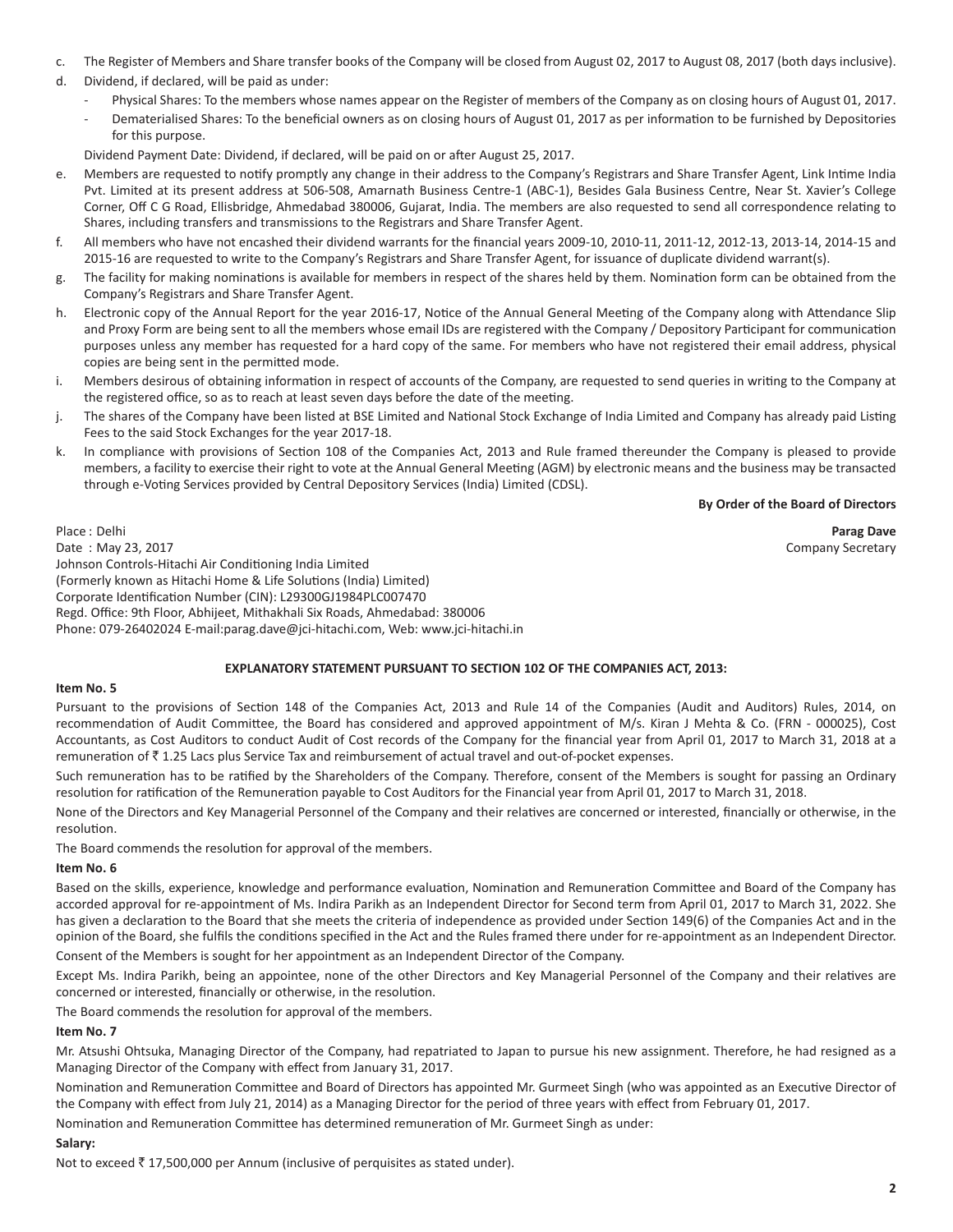- c. The Register of Members and Share transfer books of the Company will be closed from August 02, 2017 to August 08, 2017 (both days inclusive).
- d. Dividend, if declared, will be paid as under:
	- Physical Shares: To the members whose names appear on the Register of members of the Company as on closing hours of August 01, 2017.
	- Dematerialised Shares: To the beneficial owners as on closing hours of August 01, 2017 as per information to be furnished by Depositories for this purpose.

Dividend Payment Date: Dividend, if declared, will be paid on or after August 25, 2017.

- e. Members are requested to notify promptly any change in their address to the Company's Registrars and Share Transfer Agent, Link Intime India Pvt. Limited at its present address at 506-508, Amarnath Business Centre-1 (ABC-1), Besides Gala Business Centre, Near St. Xavier's College Corner, Off C G Road, Ellisbridge, Ahmedabad 380006, Gujarat, India. The members are also requested to send all correspondence relating to Shares, including transfers and transmissions to the Registrars and Share Transfer Agent.
- f. All members who have not encashed their dividend warrants for the financial years 2009-10, 2010-11, 2011-12, 2012-13, 2013-14, 2014-15 and 2015-16 are requested to write to the Company's Registrars and Share Transfer Agent, for issuance of duplicate dividend warrant(s).
- g. The facility for making nominations is available for members in respect of the shares held by them. Nomination form can be obtained from the Company's Registrars and Share Transfer Agent.
- h. Electronic copy of the Annual Report for the year 2016-17, Notice of the Annual General Meeting of the Company along with Attendance Slip and Proxy Form are being sent to all the members whose email IDs are registered with the Company / Depository Participant for communication purposes unless any member has requested for a hard copy of the same. For members who have not registered their email address, physical copies are being sent in the permitted mode.
- i. Members desirous of obtaining information in respect of accounts of the Company, are requested to send queries in writing to the Company at the registered office, so as to reach at least seven days before the date of the meeting.
- j. The shares of the Company have been listed at BSE Limited and National Stock Exchange of India Limited and Company has already paid Listing Fees to the said Stock Exchanges for the year 2017-18.
- k. In compliance with provisions of Section 108 of the Companies Act, 2013 and Rule framed thereunder the Company is pleased to provide members, a facility to exercise their right to vote at the Annual General Meeting (AGM) by electronic means and the business may be transacted through e-Voting Services provided by Central Depository Services (India) Limited (CDSL).

### **By Order of the Board of Directors**

Place : Delhi **Parag Dave** Date : May 23, 2017 Company Secretary Company Secretary Company Secretary Johnson Controls-Hitachi Air Conditioning India Limited (Formerly known as Hitachi Home & Life Solutions (India) Limited) Corporate Identification Number (CIN): L29300GJ1984PLC007470 Regd. Office: 9th Floor, Abhijeet, Mithakhali Six Roads, Ahmedabad: 380006 Phone: 079-26402024 E-mail:parag.dave@jci-hitachi.com, Web: www.jci-hitachi.in

# **EXPLANATORY STATEMENT PURSUANT TO SECTION 102 OF THE COMPANIES ACT, 2013:**

## **Item No. 5**

Pursuant to the provisions of Section 148 of the Companies Act, 2013 and Rule 14 of the Companies (Audit and Auditors) Rules, 2014, on recommendation of Audit Committee, the Board has considered and approved appointment of M/s. Kiran J Mehta & Co. (FRN - 000025), Cost Accountants, as Cost Auditors to conduct Audit of Cost records of the Company for the financial year from April 01, 2017 to March 31, 2018 at a remuneration of  $\bar{\tau}$  1.25 Lacs plus Service Tax and reimbursement of actual travel and out-of-pocket expenses.

Such remuneration has to be ratified by the Shareholders of the Company. Therefore, consent of the Members is sought for passing an Ordinary resolution for ratification of the Remuneration payable to Cost Auditors for the Financial year from April 01, 2017 to March 31, 2018.

None of the Directors and Key Managerial Personnel of the Company and their relatives are concerned or interested, financially or otherwise, in the resolution.

The Board commends the resolution for approval of the members.

## **Item No. 6**

Based on the skills, experience, knowledge and performance evaluation, Nomination and Remuneration Committee and Board of the Company has accorded approval for re-appointment of Ms. Indira Parikh as an Independent Director for Second term from April 01, 2017 to March 31, 2022. She has given a declaration to the Board that she meets the criteria of independence as provided under Section 149(6) of the Companies Act and in the opinion of the Board, she fulfils the conditions specified in the Act and the Rules framed there under for re-appointment as an Independent Director.

Consent of the Members is sought for her appointment as an Independent Director of the Company.

Except Ms. Indira Parikh, being an appointee, none of the other Directors and Key Managerial Personnel of the Company and their relatives are concerned or interested, financially or otherwise, in the resolution.

The Board commends the resolution for approval of the members.

## **Item No. 7**

Mr. Atsushi Ohtsuka, Managing Director of the Company, had repatriated to Japan to pursue his new assignment. Therefore, he had resigned as a Managing Director of the Company with effect from January 31, 2017.

Nomination and Remuneration Committee and Board of Directors has appointed Mr. Gurmeet Singh (who was appointed as an Executive Director of the Company with effect from July 21, 2014) as a Managing Director for the period of three years with effect from February 01, 2017.

Nomination and Remuneration Committee has determined remuneration of Mr. Gurmeet Singh as under:

# **Salary:**

Not to exceed  $\bar{\tau}$  17,500,000 per Annum (inclusive of perquisites as stated under).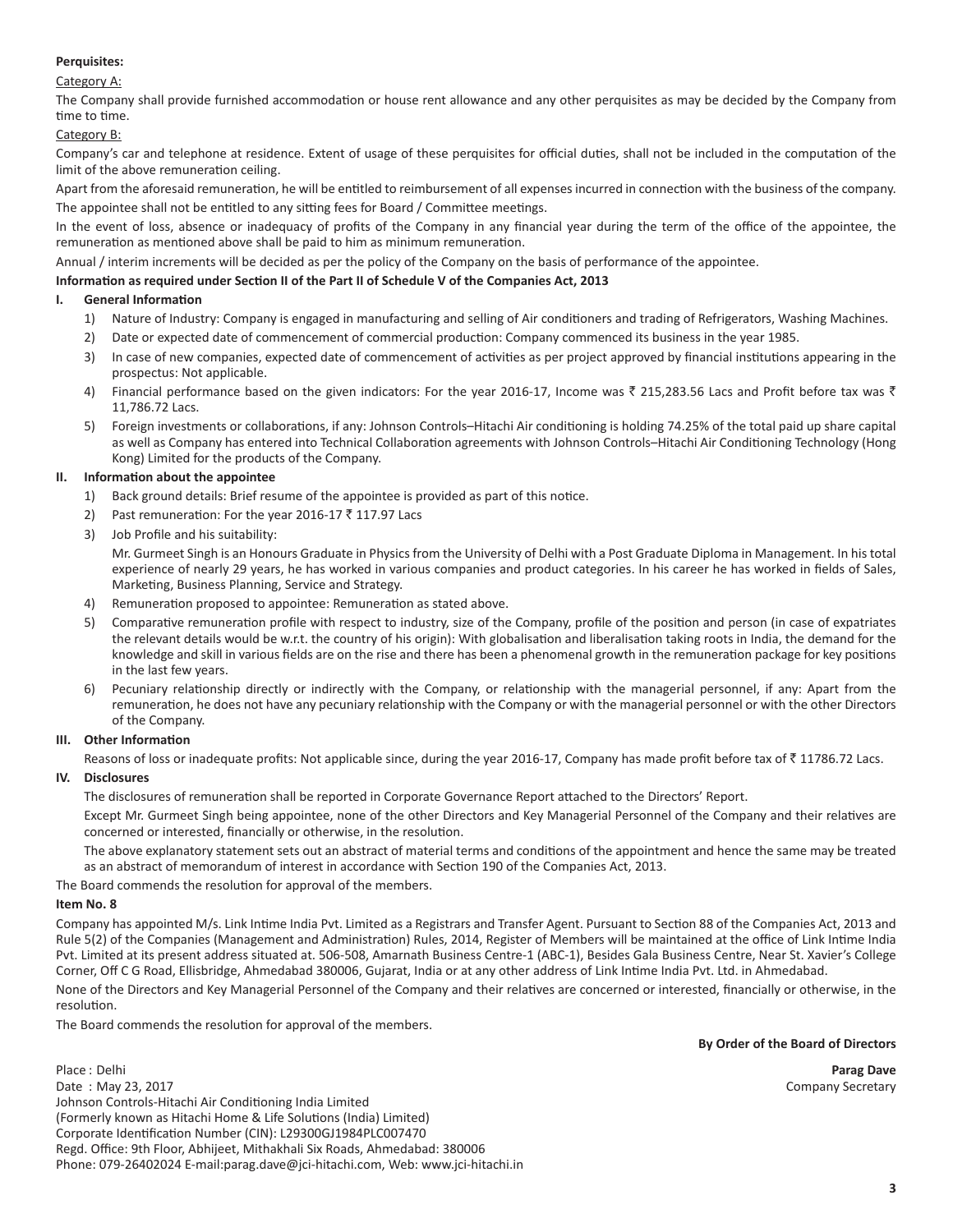## **Perquisites:**

## Category A:

The Company shall provide furnished accommodation or house rent allowance and any other perquisites as may be decided by the Company from time to time.

## Category B:

Company's car and telephone at residence. Extent of usage of these perquisites for official duties, shall not be included in the computation of the limit of the above remuneration ceiling.

Apart from the aforesaid remuneration, he will be entitled to reimbursement of all expenses incurred in connection with the business of the company. The appointee shall not be entitled to any sitting fees for Board / Committee meetings.

In the event of loss, absence or inadequacy of profits of the Company in any financial year during the term of the office of the appointee, the remuneration as mentioned above shall be paid to him as minimum remuneration.

Annual / interim increments will be decided as per the policy of the Company on the basis of performance of the appointee.

## **Information as required under Section II of the Part II of Schedule V of the Companies Act, 2013**

### **I. General Information**

- 1) Nature of Industry: Company is engaged in manufacturing and selling of Air conditioners and trading of Refrigerators, Washing Machines.
- 2) Date or expected date of commencement of commercial production: Company commenced its business in the year 1985.
- 3) In case of new companies, expected date of commencement of activities as per project approved by financial institutions appearing in the prospectus: Not applicable.
- 4) Financial performance based on the given indicators: For the year 2016-17, Income was  $\bar{\zeta}$  215,283.56 Lacs and Profit before tax was  $\bar{\zeta}$ 11,786.72 Lacs.
- 5) Foreign investments or collaborations, if any: Johnson Controls–Hitachi Air conditioning is holding 74.25% of the total paid up share capital as well as Company has entered into Technical Collaboration agreements with Johnson Controls–Hitachi Air Conditioning Technology (Hong Kong) Limited for the products of the Company.

## **II. Information about the appointee**

- 1) Back ground details: Brief resume of the appointee is provided as part of this notice.
- 2) Past remuneration: For the year 2016-17  $\bar{z}$  117.97 Lacs
- 3) Job Profile and his suitability:

Mr. Gurmeet Singh is an Honours Graduate in Physics from the University of Delhi with a Post Graduate Diploma in Management. In his total experience of nearly 29 years, he has worked in various companies and product categories. In his career he has worked in fields of Sales, Marketing, Business Planning, Service and Strategy.

- 4) Remuneration proposed to appointee: Remuneration as stated above.
- 5) Comparative remuneration profile with respect to industry, size of the Company, profile of the position and person (in case of expatriates the relevant details would be w.r.t. the country of his origin): With globalisation and liberalisation taking roots in India, the demand for the knowledge and skill in various fields are on the rise and there has been a phenomenal growth in the remuneration package for key positions in the last few years.
- 6) Pecuniary relationship directly or indirectly with the Company, or relationship with the managerial personnel, if any: Apart from the remuneration, he does not have any pecuniary relationship with the Company or with the managerial personnel or with the other Directors of the Company.

#### **III. Other Information**

Reasons of loss or inadequate profits: Not applicable since, during the year 2016-17, Company has made profit before tax of  $\bar{z}$  11786.72 Lacs.

## **IV. Disclosures**

The disclosures of remuneration shall be reported in Corporate Governance Report attached to the Directors' Report.

Except Mr. Gurmeet Singh being appointee, none of the other Directors and Key Managerial Personnel of the Company and their relatives are concerned or interested, financially or otherwise, in the resolution.

The above explanatory statement sets out an abstract of material terms and conditions of the appointment and hence the same may be treated as an abstract of memorandum of interest in accordance with Section 190 of the Companies Act, 2013.

The Board commends the resolution for approval of the members.

# **Item No. 8**

Company has appointed M/s. Link Intime India Pvt. Limited as a Registrars and Transfer Agent. Pursuant to Section 88 of the Companies Act, 2013 and Rule 5(2) of the Companies (Management and Administration) Rules, 2014, Register of Members will be maintained at the office of Link Intime India Pvt. Limited at its present address situated at. 506-508, Amarnath Business Centre-1 (ABC-1), Besides Gala Business Centre, Near St. Xavier's College Corner, Off C G Road, Ellisbridge, Ahmedabad 380006, Gujarat, India or at any other address of Link Intime India Pvt. Ltd. in Ahmedabad.

None of the Directors and Key Managerial Personnel of the Company and their relatives are concerned or interested, financially or otherwise, in the resolution.

The Board commends the resolution for approval of the members.

#### **By Order of the Board of Directors**

Place : Delhi **Parag Dave**

Date : May 23, 2017 **Company Secretary** Company Secretary Company Secretary Company Secretary Johnson Controls-Hitachi Air Conditioning India Limited (Formerly known as Hitachi Home & Life Solutions (India) Limited) Corporate Identification Number (CIN): L29300GJ1984PLC007470 Regd. Office: 9th Floor, Abhijeet, Mithakhali Six Roads, Ahmedabad: 380006 Phone: 079-26402024 E-mail:parag.dave@jci-hitachi.com, Web: www.jci-hitachi.in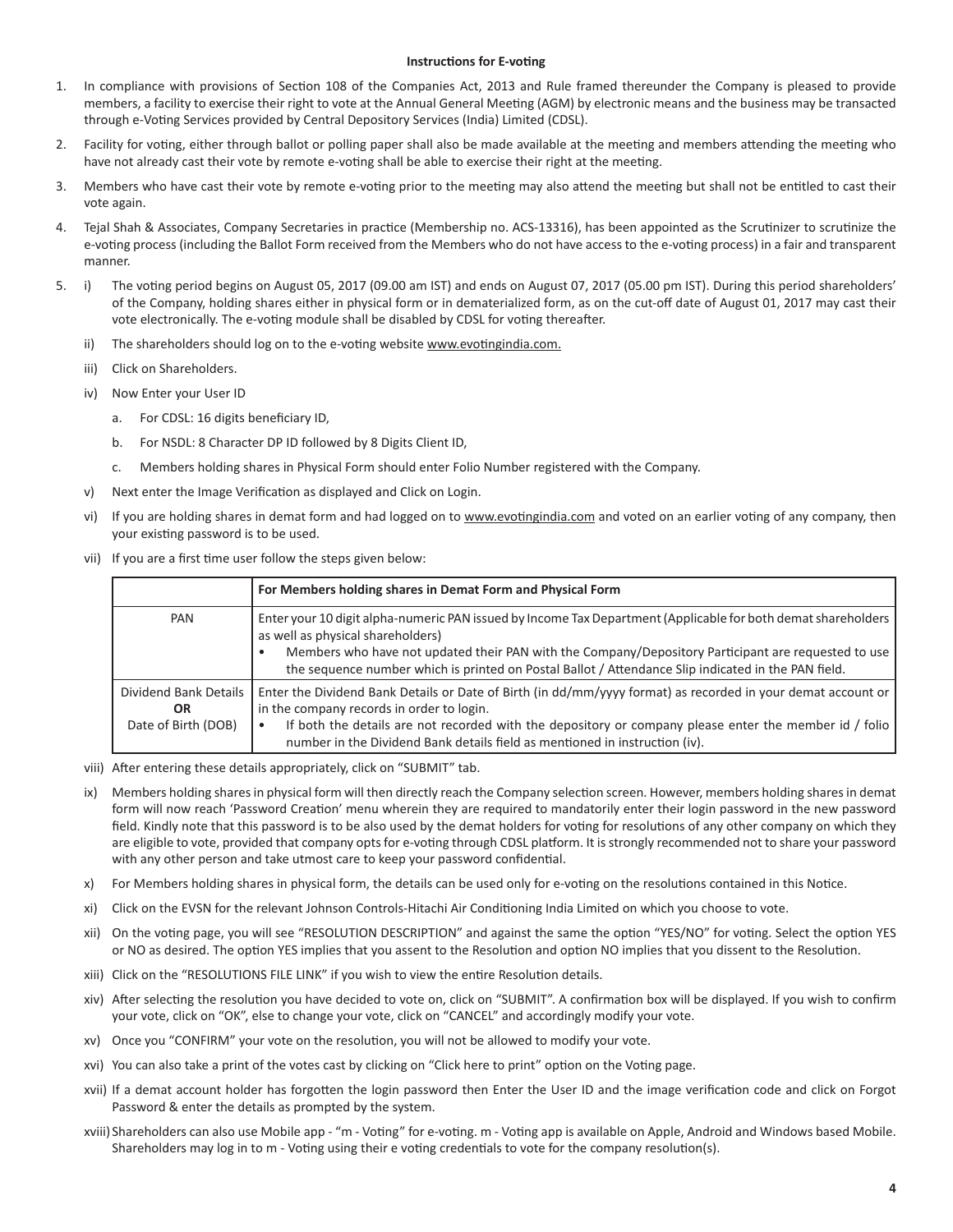#### **Instructions for E-voting**

- 1. In compliance with provisions of Section 108 of the Companies Act, 2013 and Rule framed thereunder the Company is pleased to provide members, a facility to exercise their right to vote at the Annual General Meeting (AGM) by electronic means and the business may be transacted through e-Voting Services provided by Central Depository Services (India) Limited (CDSL).
- 2. Facility for voting, either through ballot or polling paper shall also be made available at the meeting and members attending the meeting who have not already cast their vote by remote e-voting shall be able to exercise their right at the meeting.
- 3. Members who have cast their vote by remote e-voting prior to the meeting may also attend the meeting but shall not be entitled to cast their vote again.
- 4. Tejal Shah & Associates, Company Secretaries in practice (Membership no. ACS-13316), has been appointed as the Scrutinizer to scrutinize the e-voting process (including the Ballot Form received from the Members who do not have access to the e-voting process) in a fair and transparent manner.
- 5. i) The voting period begins on August 05, 2017 (09.00 am IST) and ends on August 07, 2017 (05.00 pm IST). During this period shareholders' of the Company, holding shares either in physical form or in dematerialized form, as on the cut-off date of August 01, 2017 may cast their vote electronically. The e-voting module shall be disabled by CDSL for voting thereafter.
	- ii) The shareholders should log on to the e-voting website www.evotingindia.com.
	- iii) Click on Shareholders.
	- iv) Now Enter your User ID
		- a. For CDSL: 16 digits beneficiary ID,
		- b. For NSDL: 8 Character DP ID followed by 8 Digits Client ID,
		- c. Members holding shares in Physical Form should enter Folio Number registered with the Company.
	- v) Next enter the Image Verification as displayed and Click on Login.
	- vi) If you are holding shares in demat form and had logged on to www.evotingindia.com and voted on an earlier voting of any company, then your existing password is to be used.
	- vii) If you are a first time user follow the steps given below:

|                                                           | For Members holding shares in Demat Form and Physical Form                                                                                                                                                                                                                                                                                                       |  |  |  |  |
|-----------------------------------------------------------|------------------------------------------------------------------------------------------------------------------------------------------------------------------------------------------------------------------------------------------------------------------------------------------------------------------------------------------------------------------|--|--|--|--|
| PAN                                                       | Enter your 10 digit alpha-numeric PAN issued by Income Tax Department (Applicable for both demat shareholders<br>as well as physical shareholders)<br>Members who have not updated their PAN with the Company/Depository Participant are requested to use<br>the sequence number which is printed on Postal Ballot / Attendance Slip indicated in the PAN field. |  |  |  |  |
| Dividend Bank Details<br><b>OR</b><br>Date of Birth (DOB) | Enter the Dividend Bank Details or Date of Birth (in dd/mm/yyyy format) as recorded in your demat account or<br>in the company records in order to login.<br>If both the details are not recorded with the depository or company please enter the member id / folio<br>number in the Dividend Bank details field as mentioned in instruction (iv).               |  |  |  |  |

- viii) After entering these details appropriately, click on "SUBMIT" tab.
- ix) Members holding shares in physical form will then directly reach the Company selection screen. However, members holding shares in demat form will now reach 'Password Creation' menu wherein they are required to mandatorily enter their login password in the new password field. Kindly note that this password is to be also used by the demat holders for voting for resolutions of any other company on which they are eligible to vote, provided that company opts for e-voting through CDSL platform. It is strongly recommended not to share your password with any other person and take utmost care to keep your password confidential.
- x) For Members holding shares in physical form, the details can be used only for e-voting on the resolutions contained in this Notice.
- xi) Click on the EVSN for the relevant Johnson Controls-Hitachi Air Conditioning India Limited on which you choose to vote.
- xii) On the voting page, you will see "RESOLUTION DESCRIPTION" and against the same the option "YES/NO" for voting. Select the option YES or NO as desired. The option YES implies that you assent to the Resolution and option NO implies that you dissent to the Resolution.
- xiii) Click on the "RESOLUTIONS FILE LINK" if you wish to view the entire Resolution details.
- xiv) After selecting the resolution you have decided to vote on, click on "SUBMIT". A confirmation box will be displayed. If you wish to confirm your vote, click on "OK", else to change your vote, click on "CANCEL" and accordingly modify your vote.
- xv) Once you "CONFIRM" your vote on the resolution, you will not be allowed to modify your vote.
- xvi) You can also take a print of the votes cast by clicking on "Click here to print" option on the Voting page.
- xvii) If a demat account holder has forgotten the login password then Enter the User ID and the image verification code and click on Forgot Password & enter the details as prompted by the system.
- xviii) Shareholders can also use Mobile app "m Voting" for e-voting. m Voting app is available on Apple, Android and Windows based Mobile. Shareholders may log in to m - Voting using their e voting credentials to vote for the company resolution(s).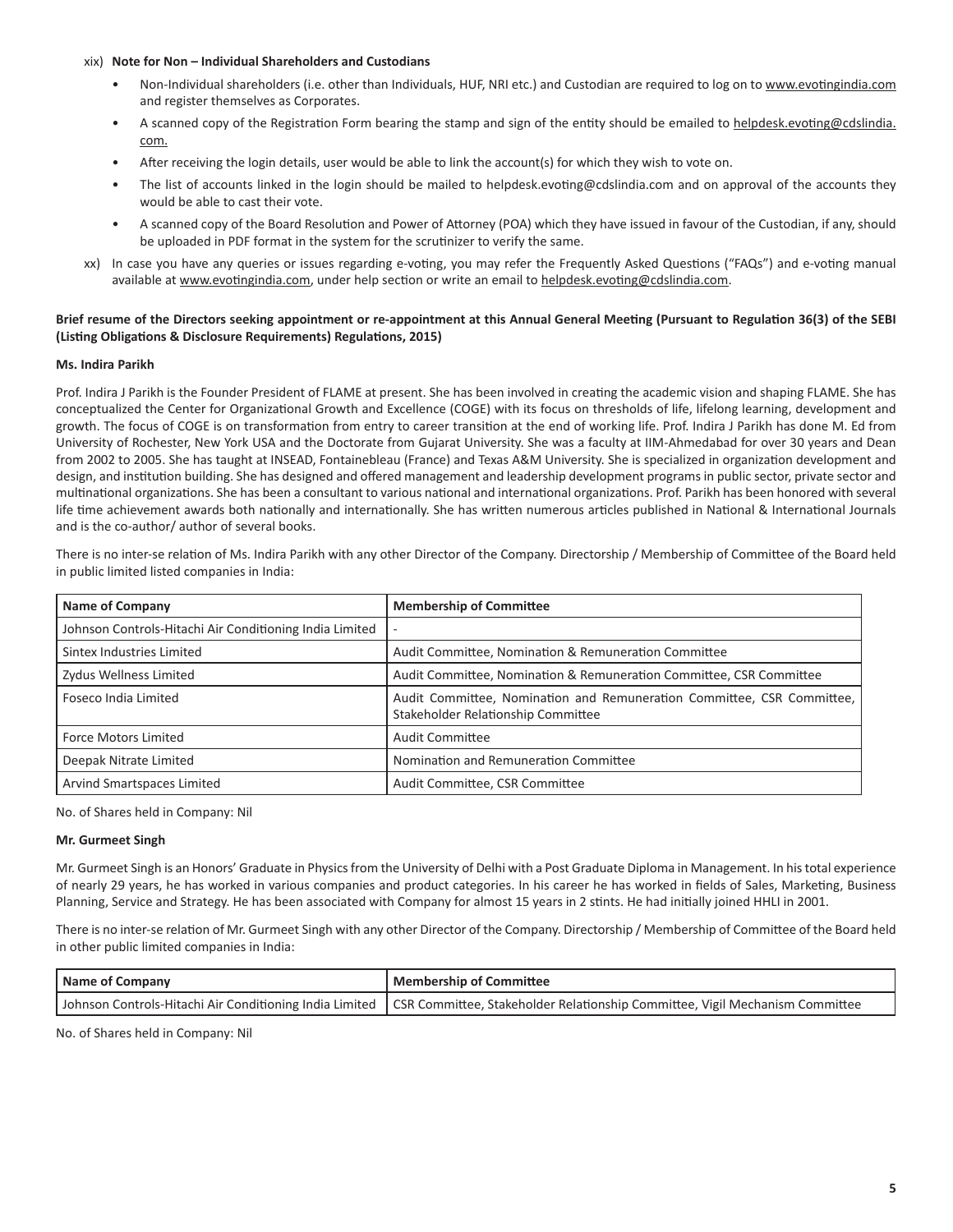#### xix) **Note for Non – Individual Shareholders and Custodians**

- Non-Individual shareholders (i.e. other than Individuals, HUF, NRI etc.) and Custodian are required to log on to www.evotingindia.com and register themselves as Corporates.
- A scanned copy of the Registration Form bearing the stamp and sign of the entity should be emailed to helpdesk.evoting@cdslindia. com.
- After receiving the login details, user would be able to link the account(s) for which they wish to vote on.
- The list of accounts linked in the login should be mailed to helpdesk.evoting@cdslindia.com and on approval of the accounts they would be able to cast their vote.
- A scanned copy of the Board Resolution and Power of Attorney (POA) which they have issued in favour of the Custodian, if any, should be uploaded in PDF format in the system for the scrutinizer to verify the same.
- xx) In case you have any queries or issues regarding e-voting, you may refer the Frequently Asked Questions ("FAQs") and e-voting manual available at www.evotingindia.com, under help section or write an email to helpdesk.evoting@cdslindia.com.

## **Brief resume of the Directors seeking appointment or re-appointment at this Annual General Meeting (Pursuant to Regulation 36(3) of the SEBI (Listing Obligations & Disclosure Requirements) Regulations, 2015)**

## **Ms. Indira Parikh**

Prof. Indira J Parikh is the Founder President of FLAME at present. She has been involved in creating the academic vision and shaping FLAME. She has conceptualized the Center for Organizational Growth and Excellence (COGE) with its focus on thresholds of life, lifelong learning, development and growth. The focus of COGE is on transformation from entry to career transition at the end of working life. Prof. Indira J Parikh has done M. Ed from University of Rochester, New York USA and the Doctorate from Gujarat University. She was a faculty at IIM-Ahmedabad for over 30 years and Dean from 2002 to 2005. She has taught at INSEAD, Fontainebleau (France) and Texas A&M University. She is specialized in organization development and design, and institution building. She has designed and offered management and leadership development programs in public sector, private sector and multinational organizations. She has been a consultant to various national and international organizations. Prof. Parikh has been honored with several life time achievement awards both nationally and internationally. She has written numerous articles published in National & International Journals and is the co-author/ author of several books.

There is no inter-se relation of Ms. Indira Parikh with any other Director of the Company. Directorship / Membership of Committee of the Board held in public limited listed companies in India:

| <b>Name of Company</b>                                  | <b>Membership of Committee</b>                                                                               |
|---------------------------------------------------------|--------------------------------------------------------------------------------------------------------------|
| Johnson Controls-Hitachi Air Conditioning India Limited | $\overline{\phantom{a}}$                                                                                     |
| Sintex Industries Limited                               | Audit Committee, Nomination & Remuneration Committee                                                         |
| Zydus Wellness Limited                                  | Audit Committee, Nomination & Remuneration Committee, CSR Committee                                          |
| Foseco India Limited                                    | Audit Committee, Nomination and Remuneration Committee, CSR Committee,<br>Stakeholder Relationship Committee |
| <b>Force Motors Limited</b>                             | <b>Audit Committee</b>                                                                                       |
| Deepak Nitrate Limited                                  | Nomination and Remuneration Committee                                                                        |
| Arvind Smartspaces Limited                              | Audit Committee, CSR Committee                                                                               |

No. of Shares held in Company: Nil

#### **Mr. Gurmeet Singh**

Mr. Gurmeet Singh is an Honors' Graduate in Physics from the University of Delhi with a Post Graduate Diploma in Management. In his total experience of nearly 29 years, he has worked in various companies and product categories. In his career he has worked in fields of Sales, Marketing, Business Planning, Service and Strategy. He has been associated with Company for almost 15 years in 2 stints. He had initially joined HHLI in 2001.

There is no inter-se relation of Mr. Gurmeet Singh with any other Director of the Company. Directorship / Membership of Committee of the Board held in other public limited companies in India:

| Name of Company | Membership of Committee                                                                                                                |  |  |  |  |
|-----------------|----------------------------------------------------------------------------------------------------------------------------------------|--|--|--|--|
|                 | Johnson Controls-Hitachi Air Conditioning India Limited   CSR Committee, Stakeholder Relationship Committee, Vigil Mechanism Committee |  |  |  |  |

No. of Shares held in Company: Nil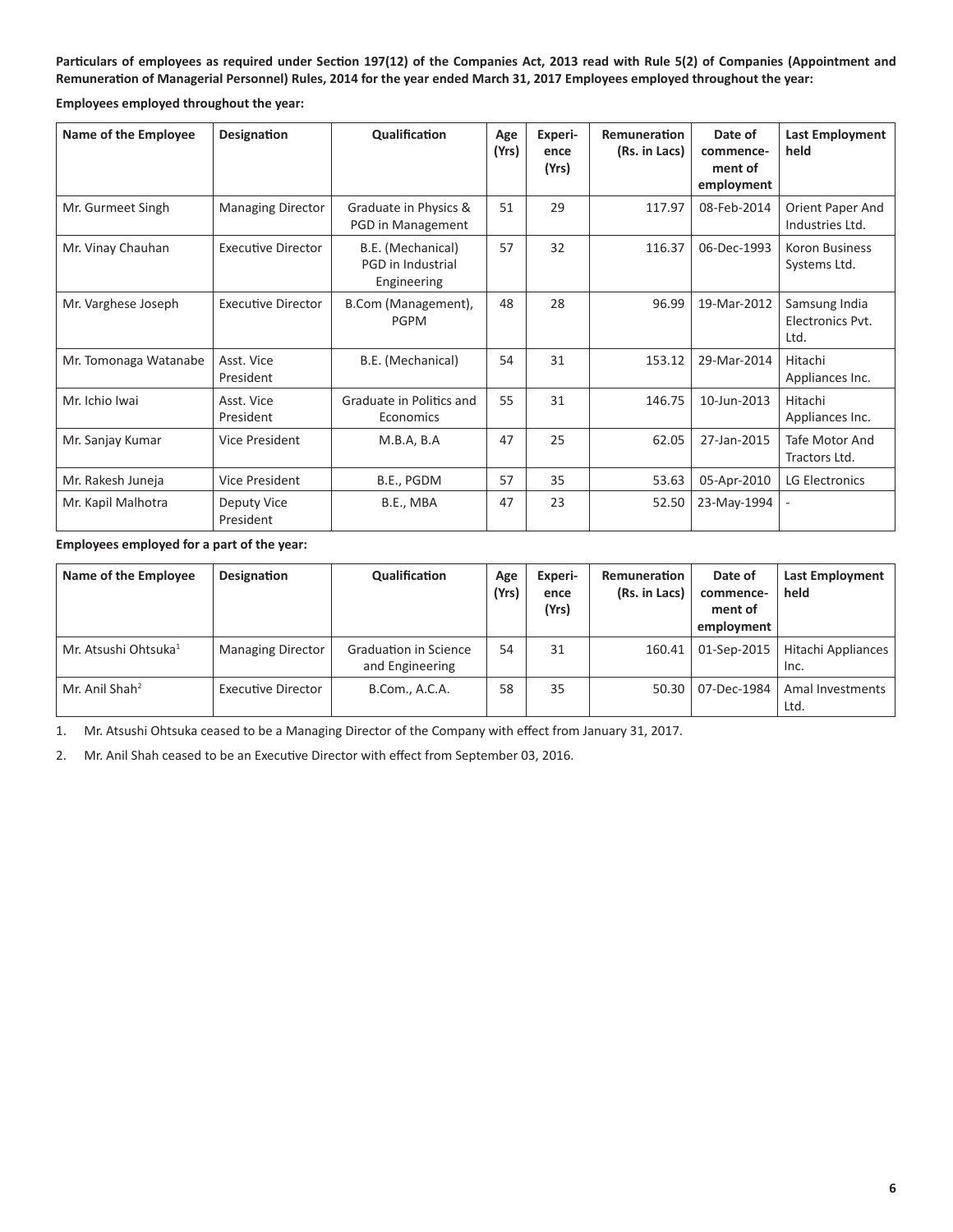**Particulars of employees as required under Section 197(12) of the Companies Act, 2013 read with Rule 5(2) of Companies (Appointment and Remuneration of Managerial Personnel) Rules, 2014 for the year ended March 31, 2017 Employees employed throughout the year:**

**Employees employed throughout the year:**

| Name of the Employee  | <b>Designation</b>        | Qualification                                         | Age<br>(Yrs) | Experi-<br>ence<br>(Yrs) | Remuneration<br>(Rs. in Lacs) | Date of<br>commence-<br>ment of<br>employment | Last Employment<br>held                   |
|-----------------------|---------------------------|-------------------------------------------------------|--------------|--------------------------|-------------------------------|-----------------------------------------------|-------------------------------------------|
| Mr. Gurmeet Singh     | <b>Managing Director</b>  | Graduate in Physics &<br>PGD in Management            | 51           | 29                       | 117.97                        | 08-Feb-2014                                   | Orient Paper And<br>Industries Ltd.       |
| Mr. Vinay Chauhan     | <b>Executive Director</b> | B.E. (Mechanical)<br>PGD in Industrial<br>Engineering | 57           | 32                       | 116.37                        | 06-Dec-1993                                   | <b>Koron Business</b><br>Systems Ltd.     |
| Mr. Varghese Joseph   | <b>Executive Director</b> | B.Com (Management),<br>PGPM                           | 48           | 28                       | 96.99                         | 19-Mar-2012                                   | Samsung India<br>Electronics Pvt.<br>Ltd. |
| Mr. Tomonaga Watanabe | Asst. Vice<br>President   | B.E. (Mechanical)                                     | 54           | 31                       | 153.12                        | 29-Mar-2014                                   | Hitachi<br>Appliances Inc.                |
| Mr. Ichio Iwai        | Asst. Vice<br>President   | Graduate in Politics and<br>Economics                 | 55           | 31                       | 146.75                        | 10-Jun-2013                                   | Hitachi<br>Appliances Inc.                |
| Mr. Sanjay Kumar      | Vice President            | M.B.A, B.A                                            | 47           | 25                       | 62.05                         | 27-Jan-2015                                   | Tafe Motor And<br>Tractors Ltd.           |
| Mr. Rakesh Juneja     | Vice President            | B.E., PGDM                                            | 57           | 35                       | 53.63                         | 05-Apr-2010                                   | LG Electronics                            |
| Mr. Kapil Malhotra    | Deputy Vice<br>President  | B.E., MBA                                             | 47           | 23                       | 52.50                         | 23-May-1994                                   |                                           |

#### **Employees employed for a part of the year:**

| Name of the Employee             | Designation               | Qualification                            | Age<br>(Yrs) | Experi-<br>ence<br>(Yrs) | Remuneration<br>(Rs. in Lacs) | Date of<br>commence-<br>ment of<br>employment | <b>Last Employment</b><br>held |
|----------------------------------|---------------------------|------------------------------------------|--------------|--------------------------|-------------------------------|-----------------------------------------------|--------------------------------|
| Mr. Atsushi Ohtsuka <sup>1</sup> | <b>Managing Director</b>  | Graduation in Science<br>and Engineering | 54           | 31                       | 160.41                        | 01-Sep-2015                                   | Hitachi Appliances<br>Inc.     |
| Mr. Anil Shah <sup>2</sup>       | <b>Executive Director</b> | B.Com., A.C.A.                           | 58           | 35                       | 50.30                         | 07-Dec-1984                                   | Amal Investments<br>Ltd.       |

1. Mr. Atsushi Ohtsuka ceased to be a Managing Director of the Company with effect from January 31, 2017.

2. Mr. Anil Shah ceased to be an Executive Director with effect from September 03, 2016.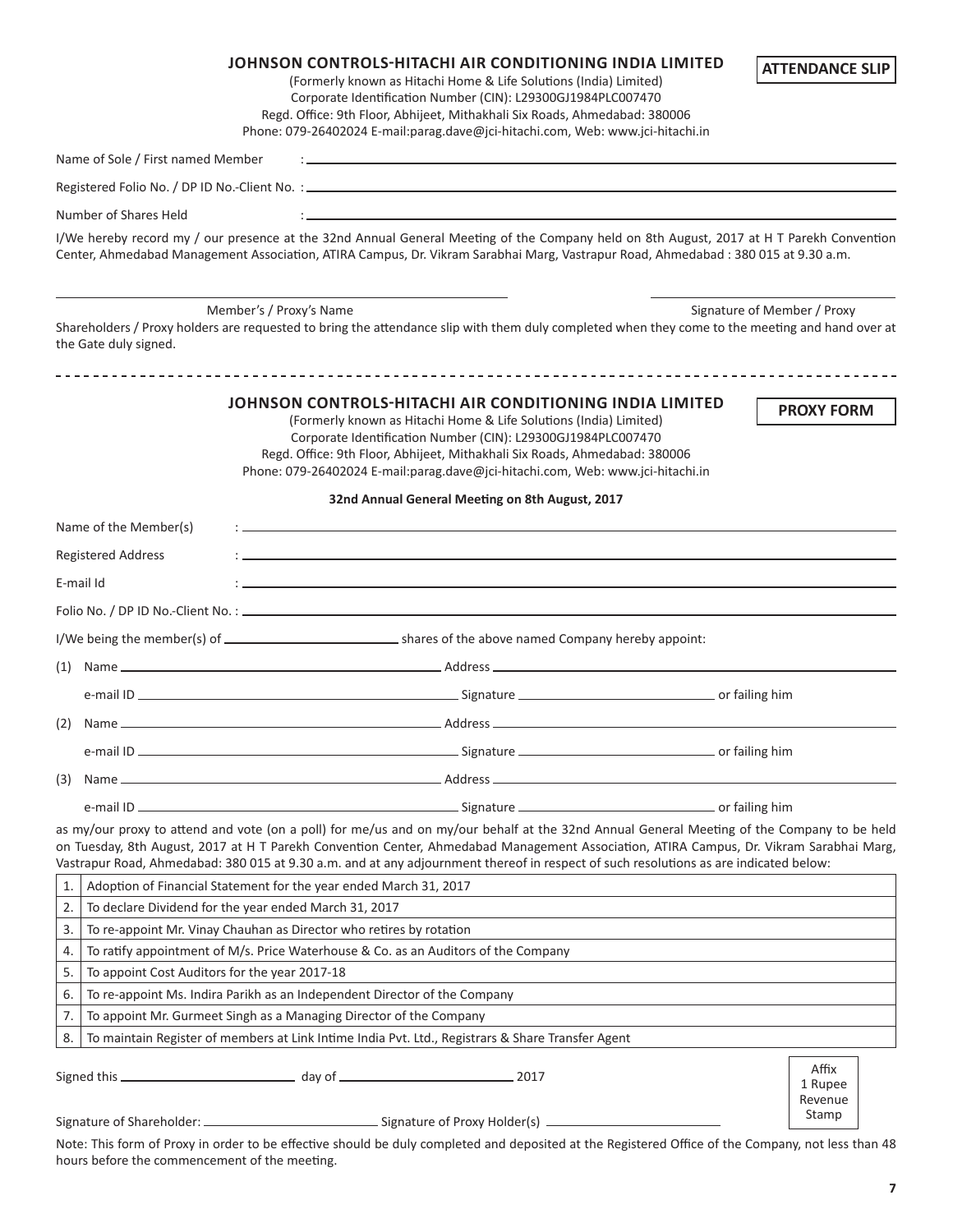|          |                                               | <b>JOHNSON CONTROLS-HITACHI AIR CONDITIONING INDIA LIMITED</b><br>(Formerly known as Hitachi Home & Life Solutions (India) Limited)<br>Corporate Identification Number (CIN): L29300GJ1984PLC007470<br>Regd. Office: 9th Floor, Abhijeet, Mithakhali Six Roads, Ahmedabad: 380006<br>Phone: 079-26402024 E-mail:parag.dave@jci-hitachi.com, Web: www.jci-hitachi.in                                                            | <b>ATTENDANCE SLIP</b>      |
|----------|-----------------------------------------------|--------------------------------------------------------------------------------------------------------------------------------------------------------------------------------------------------------------------------------------------------------------------------------------------------------------------------------------------------------------------------------------------------------------------------------|-----------------------------|
|          | Name of Sole / First named Member             | the control of the control of the control of the control of the control of the control of the control of the control of the control of the control of the control of the control of the control of the control of the control                                                                                                                                                                                                  |                             |
|          |                                               |                                                                                                                                                                                                                                                                                                                                                                                                                                |                             |
|          | Number of Shares Held                         |                                                                                                                                                                                                                                                                                                                                                                                                                                |                             |
|          |                                               | I/We hereby record my / our presence at the 32nd Annual General Meeting of the Company held on 8th August, 2017 at H T Parekh Convention<br>Center, Ahmedabad Management Association, ATIRA Campus, Dr. Vikram Sarabhai Marg, Vastrapur Road, Ahmedabad: 380 015 at 9.30 a.m.                                                                                                                                                  |                             |
|          | the Gate duly signed.                         | Member's / Proxy's Name<br>Shareholders / Proxy holders are requested to bring the attendance slip with them duly completed when they come to the meeting and hand over at                                                                                                                                                                                                                                                     | Signature of Member / Proxy |
|          |                                               | JOHNSON CONTROLS-HITACHI AIR CONDITIONING INDIA LIMITED<br>(Formerly known as Hitachi Home & Life Solutions (India) Limited)<br>Corporate Identification Number (CIN): L29300GJ1984PLC007470<br>Regd. Office: 9th Floor, Abhijeet, Mithakhali Six Roads, Ahmedabad: 380006<br>Phone: 079-26402024 E-mail:parag.dave@jci-hitachi.com, Web: www.jci-hitachi.in                                                                   | <b>PROXY FORM</b>           |
|          |                                               | 32nd Annual General Meeting on 8th August, 2017                                                                                                                                                                                                                                                                                                                                                                                |                             |
|          | Name of the Member(s)                         |                                                                                                                                                                                                                                                                                                                                                                                                                                |                             |
|          | <b>Registered Address</b>                     |                                                                                                                                                                                                                                                                                                                                                                                                                                |                             |
|          | E-mail Id                                     |                                                                                                                                                                                                                                                                                                                                                                                                                                |                             |
|          |                                               |                                                                                                                                                                                                                                                                                                                                                                                                                                |                             |
|          |                                               |                                                                                                                                                                                                                                                                                                                                                                                                                                |                             |
| (1)      |                                               |                                                                                                                                                                                                                                                                                                                                                                                                                                |                             |
|          |                                               |                                                                                                                                                                                                                                                                                                                                                                                                                                |                             |
| (2)      |                                               |                                                                                                                                                                                                                                                                                                                                                                                                                                |                             |
|          | e-mail ID ______                              | or failing him                                                                                                                                                                                                                                                                                                                                                                                                                 |                             |
|          |                                               | <b>Maria Excession Community Community</b> Signature Later Community                                                                                                                                                                                                                                                                                                                                                           |                             |
| (3)      |                                               |                                                                                                                                                                                                                                                                                                                                                                                                                                |                             |
|          |                                               | as my/our proxy to attend and vote (on a poll) for me/us and on my/our behalf at the 32nd Annual General Meeting of the Company to be held<br>on Tuesday, 8th August, 2017 at H T Parekh Convention Center, Ahmedabad Management Association, ATIRA Campus, Dr. Vikram Sarabhai Marg,<br>Vastrapur Road, Ahmedabad: 380 015 at 9.30 a.m. and at any adjournment thereof in respect of such resolutions as are indicated below: |                             |
| 1.       |                                               | Adoption of Financial Statement for the year ended March 31, 2017                                                                                                                                                                                                                                                                                                                                                              |                             |
| 2.       |                                               | To declare Dividend for the year ended March 31, 2017                                                                                                                                                                                                                                                                                                                                                                          |                             |
| 3.       |                                               | To re-appoint Mr. Vinay Chauhan as Director who retires by rotation<br>To ratify appointment of M/s. Price Waterhouse & Co. as an Auditors of the Company                                                                                                                                                                                                                                                                      |                             |
| 4.<br>5. | To appoint Cost Auditors for the year 2017-18 |                                                                                                                                                                                                                                                                                                                                                                                                                                |                             |
| 6.       |                                               | To re-appoint Ms. Indira Parikh as an Independent Director of the Company                                                                                                                                                                                                                                                                                                                                                      |                             |
| 7.       |                                               | To appoint Mr. Gurmeet Singh as a Managing Director of the Company                                                                                                                                                                                                                                                                                                                                                             |                             |
| 8.       |                                               | To maintain Register of members at Link Intime India Pvt. Ltd., Registrars & Share Transfer Agent                                                                                                                                                                                                                                                                                                                              |                             |
|          |                                               |                                                                                                                                                                                                                                                                                                                                                                                                                                | Affix<br>1 Rupee<br>Revenue |
|          |                                               | Signature of Shareholder: __________________________________Signature of Proxy Holder(s) _________________                                                                                                                                                                                                                                                                                                                     | Stamp                       |

hours before the commencement of the meeting.